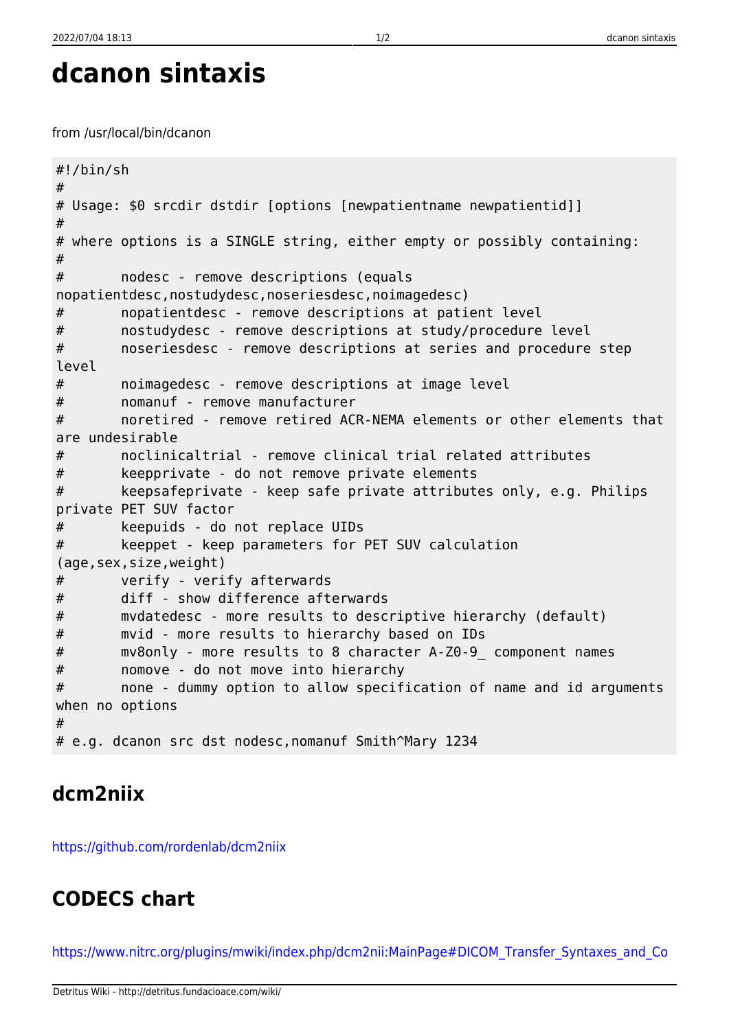```
dcanon sintaxis
```
from /usr/local/bin/dcanon

```
#!/bin/sh
#
# Usage: $0 srcdir dstdir [options [newpatientname newpatientid]]
#
# where options is a SINGLE string, either empty or possibly containing:
#
# nodesc - remove descriptions (equals
nopatientdesc,nostudydesc,noseriesdesc,noimagedesc)
# nopatientdesc - remove descriptions at patient level
# nostudydesc - remove descriptions at study/procedure level
# noseriesdesc - remove descriptions at series and procedure step
level
# noimagedesc - remove descriptions at image level
# nomanuf - remove manufacturer
# noretired - remove retired ACR-NEMA elements or other elements that
are undesirable
# noclinicaltrial - remove clinical trial related attributes
# keepprivate - do not remove private elements
# keepsafeprivate - keep safe private attributes only, e.g. Philips
private PET SUV factor
# keepuids - do not replace UIDs
# keeppet - keep parameters for PET SUV calculation
(age,sex,size,weight)
# verify - verify afterwards
# diff - show difference afterwards
# mvdatedesc - more results to descriptive hierarchy (default)
# mvid - more results to hierarchy based on IDs
# mv8only - more results to 8 character A-Z0-9_ component names
# nomove - do not move into hierarchy
# none - dummy option to allow specification of name and id arguments
when no options
#
# e.g. dcanon src dst nodesc,nomanuf Smith^Mary 1234
```
## **dcm2niix**

<https://github.com/rordenlab/dcm2niix>

## **CODECS chart**

[https://www.nitrc.org/plugins/mwiki/index.php/dcm2nii:MainPage#DICOM\\_Transfer\\_Syntaxes\\_and\\_Co](https://www.nitrc.org/plugins/mwiki/index.php/dcm2nii:MainPage#DICOM_Transfer_Syntaxes_and_Compressed_Images)